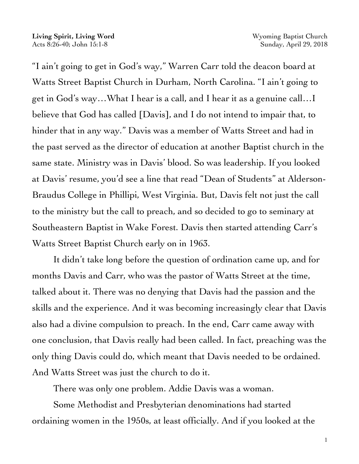"I ain't going to get in God's way," Warren Carr told the deacon board at Watts Street Baptist Church in Durham, North Carolina. "I ain't going to get in God's way…What I hear is a call, and I hear it as a genuine call…I believe that God has called [Davis], and I do not intend to impair that, to hinder that in any way." Davis was a member of Watts Street and had in the past served as the director of education at another Baptist church in the same state. Ministry was in Davis' blood. So was leadership. If you looked at Davis' resume, you'd see a line that read "Dean of Students" at Alderson-Braudus College in Phillipi, West Virginia. But, Davis felt not just the call to the ministry but the call to preach, and so decided to go to seminary at Southeastern Baptist in Wake Forest. Davis then started attending Carr's Watts Street Baptist Church early on in 1963.

It didn't take long before the question of ordination came up, and for months Davis and Carr, who was the pastor of Watts Street at the time, talked about it. There was no denying that Davis had the passion and the skills and the experience. And it was becoming increasingly clear that Davis also had a divine compulsion to preach. In the end, Carr came away with one conclusion, that Davis really had been called. In fact, preaching was the only thing Davis could do, which meant that Davis needed to be ordained. And Watts Street was just the church to do it.

There was only one problem. Addie Davis was a woman.

Some Methodist and Presbyterian denominations had started ordaining women in the 1950s, at least officially. And if you looked at the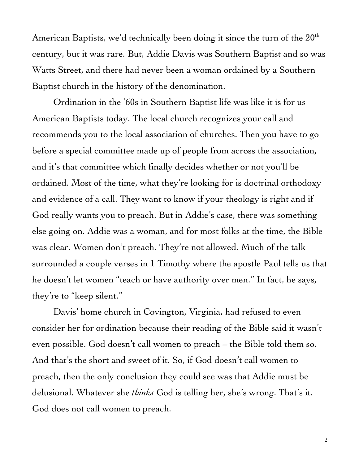American Baptists, we'd technically been doing it since the turn of the  $20<sup>th</sup>$ century, but it was rare. But, Addie Davis was Southern Baptist and so was Watts Street, and there had never been a woman ordained by a Southern Baptist church in the history of the denomination.

Ordination in the '60s in Southern Baptist life was like it is for us American Baptists today. The local church recognizes your call and recommends you to the local association of churches. Then you have to go before a special committee made up of people from across the association, and it's that committee which finally decides whether or not you'll be ordained. Most of the time, what they're looking for is doctrinal orthodoxy and evidence of a call. They want to know if your theology is right and if God really wants you to preach. But in Addie's case, there was something else going on. Addie was a woman, and for most folks at the time, the Bible was clear. Women don't preach. They're not allowed. Much of the talk surrounded a couple verses in 1 Timothy where the apostle Paul tells us that he doesn't let women "teach or have authority over men." In fact, he says, they're to "keep silent."

Davis' home church in Covington, Virginia, had refused to even consider her for ordination because their reading of the Bible said it wasn't even possible. God doesn't call women to preach – the Bible told them so. And that's the short and sweet of it. So, if God doesn't call women to preach, then the only conclusion they could see was that Addie must be delusional. Whatever she *thinks* God is telling her, she's wrong. That's it. God does not call women to preach.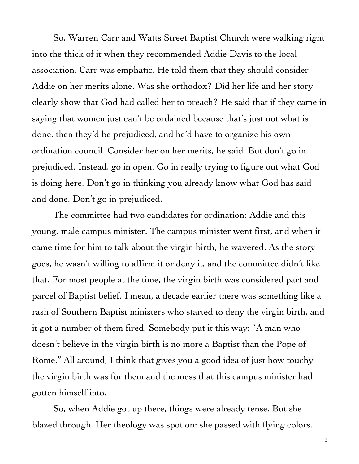So, Warren Carr and Watts Street Baptist Church were walking right into the thick of it when they recommended Addie Davis to the local association. Carr was emphatic. He told them that they should consider Addie on her merits alone. Was she orthodox? Did her life and her story clearly show that God had called her to preach? He said that if they came in saying that women just can't be ordained because that's just not what is done, then they'd be prejudiced, and he'd have to organize his own ordination council. Consider her on her merits, he said. But don't go in prejudiced. Instead, go in open. Go in really trying to figure out what God is doing here. Don't go in thinking you already know what God has said and done. Don't go in prejudiced.

The committee had two candidates for ordination: Addie and this young, male campus minister. The campus minister went first, and when it came time for him to talk about the virgin birth, he wavered. As the story goes, he wasn't willing to affirm it or deny it, and the committee didn't like that. For most people at the time, the virgin birth was considered part and parcel of Baptist belief. I mean, a decade earlier there was something like a rash of Southern Baptist ministers who started to deny the virgin birth, and it got a number of them fired. Somebody put it this way: "A man who doesn't believe in the virgin birth is no more a Baptist than the Pope of Rome." All around, I think that gives you a good idea of just how touchy the virgin birth was for them and the mess that this campus minister had gotten himself into.

So, when Addie got up there, things were already tense. But she blazed through. Her theology was spot on; she passed with flying colors.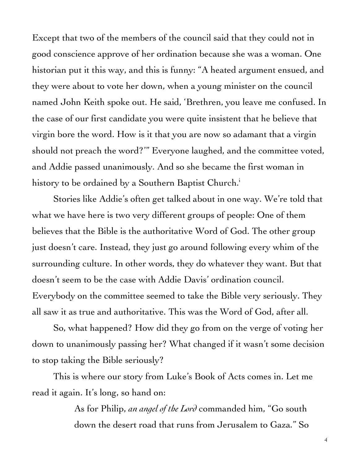Except that two of the members of the council said that they could not in good conscience approve of her ordination because she was a woman. One historian put it this way, and this is funny: "A heated argument ensued, and they were about to vote her down, when a young minister on the council named John Keith spoke out. He said, 'Brethren, you leave me confused. In the case of our first candidate you were quite insistent that he believe that virgin bore the word. How is it that you are now so adamant that a virgin should not preach the word?'" Everyone laughed, and the committee voted, and Addie passed unanimously. And so she became the first woman in history to be ordained by a Southern Baptist Church.<sup>i</sup>

Stories like Addie's often get talked about in one way. We're told that what we have here is two very different groups of people: One of them believes that the Bible is the authoritative Word of God. The other group just doesn't care. Instead, they just go around following every whim of the surrounding culture. In other words, they do whatever they want. But that doesn't seem to be the case with Addie Davis' ordination council. Everybody on the committee seemed to take the Bible very seriously. They all saw it as true and authoritative. This was the Word of God, after all.

So, what happened? How did they go from on the verge of voting her down to unanimously passing her? What changed if it wasn't some decision to stop taking the Bible seriously?

This is where our story from Luke's Book of Acts comes in. Let me read it again. It's long, so hand on:

> As for Philip, *an angel of the Lord* commanded him, "Go south down the desert road that runs from Jerusalem to Gaza." So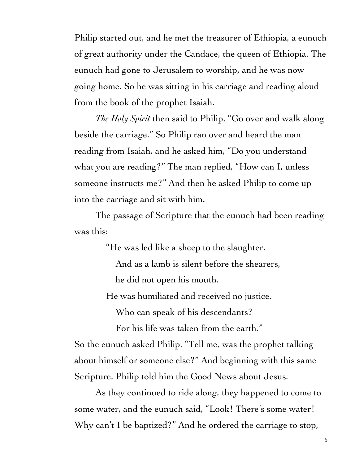Philip started out, and he met the treasurer of Ethiopia, a eunuch of great authority under the Candace, the queen of Ethiopia. The eunuch had gone to Jerusalem to worship, and he was now going home. So he was sitting in his carriage and reading aloud from the book of the prophet Isaiah.

*The Holy Spirit* then said to Philip, "Go over and walk along beside the carriage." So Philip ran over and heard the man reading from Isaiah, and he asked him, "Do you understand what you are reading?" The man replied, "How can I, unless someone instructs me?" And then he asked Philip to come up into the carriage and sit with him.

The passage of Scripture that the eunuch had been reading was this:

"He was led like a sheep to the slaughter.

 And as a lamb is silent before the shearers, he did not open his mouth.

He was humiliated and received no justice.

Who can speak of his descendants?

For his life was taken from the earth."

So the eunuch asked Philip, "Tell me, was the prophet talking about himself or someone else?" And beginning with this same Scripture, Philip told him the Good News about Jesus.

As they continued to ride along, they happened to come to some water, and the eunuch said, "Look! There's some water! Why can't I be baptized?" And he ordered the carriage to stop,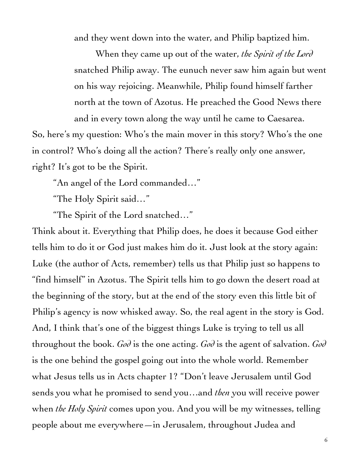and they went down into the water, and Philip baptized him.

When they came up out of the water, *the Spirit of the Lord* snatched Philip away. The eunuch never saw him again but went on his way rejoicing. Meanwhile, Philip found himself farther north at the town of Azotus. He preached the Good News there and in every town along the way until he came to Caesarea.

So, here's my question: Who's the main mover in this story? Who's the one in control? Who's doing all the action? There's really only one answer, right? It's got to be the Spirit.

"An angel of the Lord commanded…"

"The Holy Spirit said…"

"The Spirit of the Lord snatched…"

Think about it. Everything that Philip does, he does it because God either tells him to do it or God just makes him do it. Just look at the story again: Luke (the author of Acts, remember) tells us that Philip just so happens to "find himself" in Azotus. The Spirit tells him to go down the desert road at the beginning of the story, but at the end of the story even this little bit of Philip's agency is now whisked away. So, the real agent in the story is God. And, I think that's one of the biggest things Luke is trying to tell us all throughout the book. *God* is the one acting. *God* is the agent of salvation. *God* is the one behind the gospel going out into the whole world. Remember what Jesus tells us in Acts chapter 1? "Don't leave Jerusalem until God sends you what he promised to send you…and *then* you will receive power when *the Holy Spirit* comes upon you. And you will be my witnesses, telling people about me everywhere—in Jerusalem, throughout Judea and

6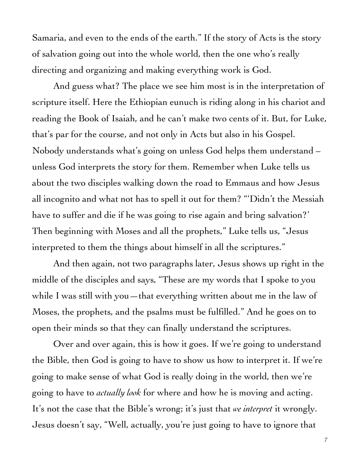Samaria, and even to the ends of the earth." If the story of Acts is the story of salvation going out into the whole world, then the one who's really directing and organizing and making everything work is God.

And guess what? The place we see him most is in the interpretation of scripture itself. Here the Ethiopian eunuch is riding along in his chariot and reading the Book of Isaiah, and he can't make two cents of it. But, for Luke, that's par for the course, and not only in Acts but also in his Gospel. Nobody understands what's going on unless God helps them understand – unless God interprets the story for them. Remember when Luke tells us about the two disciples walking down the road to Emmaus and how Jesus all incognito and what not has to spell it out for them? "'Didn't the Messiah have to suffer and die if he was going to rise again and bring salvation?' Then beginning with Moses and all the prophets," Luke tells us, "Jesus interpreted to them the things about himself in all the scriptures."

And then again, not two paragraphs later, Jesus shows up right in the middle of the disciples and says, "These are my words that I spoke to you while I was still with you—that everything written about me in the law of Moses, the prophets, and the psalms must be fulfilled." And he goes on to open their minds so that they can finally understand the scriptures.

Over and over again, this is how it goes. If we're going to understand the Bible, then God is going to have to show us how to interpret it. If we're going to make sense of what God is really doing in the world, then we're going to have to *actually look* for where and how he is moving and acting. It's not the case that the Bible's wrong; it's just that *we interpret* it wrongly. Jesus doesn't say, "Well, actually, you're just going to have to ignore that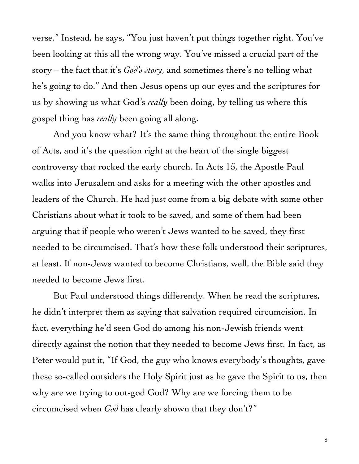verse." Instead, he says, "You just haven't put things together right. You've been looking at this all the wrong way. You've missed a crucial part of the story – the fact that it's  $G_0 \partial'$  story, and sometimes there's no telling what he's going to do." And then Jesus opens up our eyes and the scriptures for us by showing us what God's *really* been doing, by telling us where this gospel thing has *really* been going all along.

And you know what? It's the same thing throughout the entire Book of Acts, and it's the question right at the heart of the single biggest controversy that rocked the early church. In Acts 15, the Apostle Paul walks into Jerusalem and asks for a meeting with the other apostles and leaders of the Church. He had just come from a big debate with some other Christians about what it took to be saved, and some of them had been arguing that if people who weren't Jews wanted to be saved, they first needed to be circumcised. That's how these folk understood their scriptures, at least. If non-Jews wanted to become Christians, well, the Bible said they needed to become Jews first.

But Paul understood things differently. When he read the scriptures, he didn't interpret them as saying that salvation required circumcision. In fact, everything he'd seen God do among his non-Jewish friends went directly against the notion that they needed to become Jews first. In fact, as Peter would put it, "If God, the guy who knows everybody's thoughts, gave these so-called outsiders the Holy Spirit just as he gave the Spirit to us, then why are we trying to out-god God? Why are we forcing them to be circumcised when *God* has clearly shown that they don't?"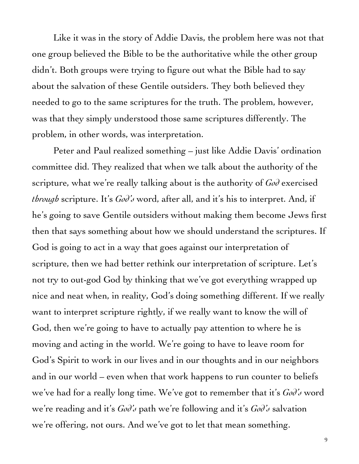Like it was in the story of Addie Davis, the problem here was not that one group believed the Bible to be the authoritative while the other group didn't. Both groups were trying to figure out what the Bible had to say about the salvation of these Gentile outsiders. They both believed they needed to go to the same scriptures for the truth. The problem, however, was that they simply understood those same scriptures differently. The problem, in other words, was interpretation.

Peter and Paul realized something – just like Addie Davis' ordination committee did. They realized that when we talk about the authority of the scripture, what we're really talking about is the authority of *God* exercised *through* scripture. It's *God's* word, after all, and it's his to interpret. And, if he's going to save Gentile outsiders without making them become Jews first then that says something about how we should understand the scriptures. If God is going to act in a way that goes against our interpretation of scripture, then we had better rethink our interpretation of scripture. Let's not try to out-god God by thinking that we've got everything wrapped up nice and neat when, in reality, God's doing something different. If we really want to interpret scripture rightly, if we really want to know the will of God, then we're going to have to actually pay attention to where he is moving and acting in the world. We're going to have to leave room for God's Spirit to work in our lives and in our thoughts and in our neighbors and in our world – even when that work happens to run counter to beliefs we've had for a really long time. We've got to remember that it's *God's* word we're reading and it's *God's* path we're following and it's *God's* salvation we're offering, not ours. And we've got to let that mean something.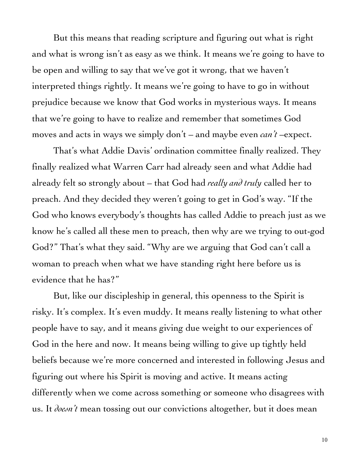But this means that reading scripture and figuring out what is right and what is wrong isn't as easy as we think. It means we're going to have to be open and willing to say that we've got it wrong, that we haven't interpreted things rightly. It means we're going to have to go in without prejudice because we know that God works in mysterious ways. It means that we're going to have to realize and remember that sometimes God moves and acts in ways we simply don't – and maybe even *can't* –expect.

That's what Addie Davis' ordination committee finally realized. They finally realized what Warren Carr had already seen and what Addie had already felt so strongly about – that God had *really and truly* called her to preach. And they decided they weren't going to get in God's way. "If the God who knows everybody's thoughts has called Addie to preach just as we know he's called all these men to preach, then why are we trying to out-god God?" That's what they said. "Why are we arguing that God can't call a woman to preach when what we have standing right here before us is evidence that he has?"

But, like our discipleship in general, this openness to the Spirit is risky. It's complex. It's even muddy. It means really listening to what other people have to say, and it means giving due weight to our experiences of God in the here and now. It means being willing to give up tightly held beliefs because we're more concerned and interested in following Jesus and figuring out where his Spirit is moving and active. It means acting differently when we come across something or someone who disagrees with us. It *doesn't* mean tossing out our convictions altogether, but it does mean